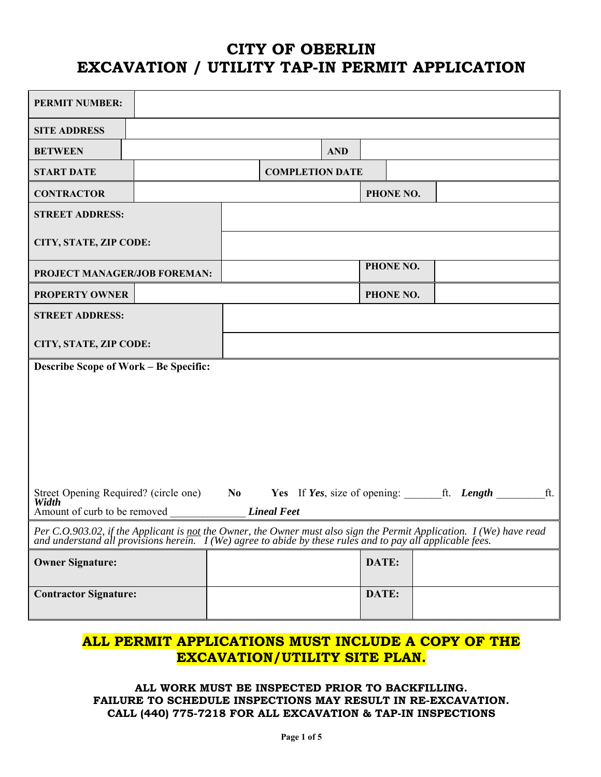# **CITY OF OBERLIN EXCAVATION / UTILITY TAP-IN PERMIT APPLICATION**

| <b>PERMIT NUMBER:</b>                                                                                                                                                                                                              |  |  |                                         |            |       |           |  |     |
|------------------------------------------------------------------------------------------------------------------------------------------------------------------------------------------------------------------------------------|--|--|-----------------------------------------|------------|-------|-----------|--|-----|
| <b>SITE ADDRESS</b>                                                                                                                                                                                                                |  |  |                                         |            |       |           |  |     |
| <b>BETWEEN</b>                                                                                                                                                                                                                     |  |  |                                         | <b>AND</b> |       |           |  |     |
| <b>START DATE</b>                                                                                                                                                                                                                  |  |  | <b>COMPLETION DATE</b>                  |            |       |           |  |     |
| <b>CONTRACTOR</b>                                                                                                                                                                                                                  |  |  |                                         |            |       | PHONE NO. |  |     |
| <b>STREET ADDRESS:</b>                                                                                                                                                                                                             |  |  |                                         |            |       |           |  |     |
| CITY, STATE, ZIP CODE:                                                                                                                                                                                                             |  |  |                                         |            |       |           |  |     |
| PROJECT MANAGER/JOB FOREMAN:                                                                                                                                                                                                       |  |  |                                         |            |       | PHONE NO. |  |     |
| <b>PROPERTY OWNER</b>                                                                                                                                                                                                              |  |  |                                         |            |       | PHONE NO. |  |     |
| <b>STREET ADDRESS:</b>                                                                                                                                                                                                             |  |  |                                         |            |       |           |  |     |
| CITY, STATE, ZIP CODE:                                                                                                                                                                                                             |  |  |                                         |            |       |           |  |     |
| <b>Describe Scope of Work – Be Specific:</b>                                                                                                                                                                                       |  |  |                                         |            |       |           |  |     |
|                                                                                                                                                                                                                                    |  |  |                                         |            |       |           |  |     |
|                                                                                                                                                                                                                                    |  |  |                                         |            |       |           |  |     |
|                                                                                                                                                                                                                                    |  |  |                                         |            |       |           |  |     |
|                                                                                                                                                                                                                                    |  |  |                                         |            |       |           |  |     |
|                                                                                                                                                                                                                                    |  |  |                                         |            |       |           |  |     |
| Street Opening Required? (circle one) No<br>Width                                                                                                                                                                                  |  |  | Yes If Yes, size of opening: ft. Length |            |       |           |  | ft. |
| Amount of curb to be removed                                                                                                                                                                                                       |  |  | <b>Lineal Feet</b>                      |            |       |           |  |     |
| Per C.O.903.02, if the Applicant is <u>not</u> the Owner, the Owner must also sign the Permit Application. I (We) have read and understand all provisions herein. I (We) agree to abide by these rules and to pay all applicable f |  |  |                                         |            |       |           |  |     |
| <b>Owner Signature:</b>                                                                                                                                                                                                            |  |  |                                         |            | DATE: |           |  |     |
|                                                                                                                                                                                                                                    |  |  |                                         |            |       |           |  |     |
| <b>Contractor Signature:</b>                                                                                                                                                                                                       |  |  |                                         |            | DATE: |           |  |     |

## **ALL PERMIT APPLICATIONS MUST INCLUDE A COPY OF THE EXCAVATION/UTILITY SITE PLAN.**

### **ALL WORK MUST BE INSPECTED PRIOR TO BACKFILLING. FAILURE TO SCHEDULE INSPECTIONS MAY RESULT IN RE-EXCAVATION. CALL (440) 775-7218 FOR ALL EXCAVATION & TAP-IN INSPECTIONS**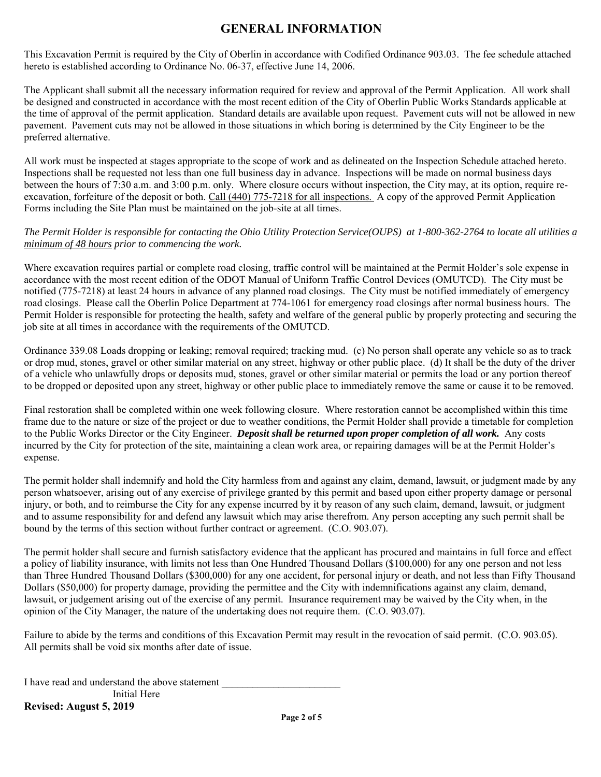## **GENERAL INFORMATION**

This Excavation Permit is required by the City of Oberlin in accordance with Codified Ordinance 903.03. The fee schedule attached hereto is established according to Ordinance No. 06-37, effective June 14, 2006.

The Applicant shall submit all the necessary information required for review and approval of the Permit Application. All work shall be designed and constructed in accordance with the most recent edition of the City of Oberlin Public Works Standards applicable at the time of approval of the permit application. Standard details are available upon request. Pavement cuts will not be allowed in new pavement. Pavement cuts may not be allowed in those situations in which boring is determined by the City Engineer to be the preferred alternative.

All work must be inspected at stages appropriate to the scope of work and as delineated on the Inspection Schedule attached hereto. Inspections shall be requested not less than one full business day in advance. Inspections will be made on normal business days between the hours of 7:30 a.m. and 3:00 p.m. only. Where closure occurs without inspection, the City may, at its option, require reexcavation, forfeiture of the deposit or both. Call (440) 775-7218 for all inspections. A copy of the approved Permit Application Forms including the Site Plan must be maintained on the job-site at all times.

#### *The Permit Holder is responsible for contacting the Ohio Utility Protection Service(OUPS) at 1-800-362-2764 to locate all utilities a minimum of 48 hours prior to commencing the work.*

Where excavation requires partial or complete road closing, traffic control will be maintained at the Permit Holder's sole expense in accordance with the most recent edition of the ODOT Manual of Uniform Traffic Control Devices (OMUTCD). The City must be notified (775-7218) at least 24 hours in advance of any planned road closings. The City must be notified immediately of emergency road closings. Please call the Oberlin Police Department at 774-1061 for emergency road closings after normal business hours. The Permit Holder is responsible for protecting the health, safety and welfare of the general public by properly protecting and securing the job site at all times in accordance with the requirements of the OMUTCD.

Ordinance 339.08 Loads dropping or leaking; removal required; tracking mud. (c) No person shall operate any vehicle so as to track or drop mud, stones, gravel or other similar material on any street, highway or other public place. (d) It shall be the duty of the driver of a vehicle who unlawfully drops or deposits mud, stones, gravel or other similar material or permits the load or any portion thereof to be dropped or deposited upon any street, highway or other public place to immediately remove the same or cause it to be removed.

Final restoration shall be completed within one week following closure. Where restoration cannot be accomplished within this time frame due to the nature or size of the project or due to weather conditions, the Permit Holder shall provide a timetable for completion to the Public Works Director or the City Engineer. *Deposit shall be returned upon proper completion of all work.* Any costs incurred by the City for protection of the site, maintaining a clean work area, or repairing damages will be at the Permit Holder's expense.

The permit holder shall indemnify and hold the City harmless from and against any claim, demand, lawsuit, or judgment made by any person whatsoever, arising out of any exercise of privilege granted by this permit and based upon either property damage or personal injury, or both, and to reimburse the City for any expense incurred by it by reason of any such claim, demand, lawsuit, or judgment and to assume responsibility for and defend any lawsuit which may arise therefrom. Any person accepting any such permit shall be bound by the terms of this section without further contract or agreement. (C.O. 903.07).

The permit holder shall secure and furnish satisfactory evidence that the applicant has procured and maintains in full force and effect a policy of liability insurance, with limits not less than One Hundred Thousand Dollars (\$100,000) for any one person and not less than Three Hundred Thousand Dollars (\$300,000) for any one accident, for personal injury or death, and not less than Fifty Thousand Dollars (\$50,000) for property damage, providing the permittee and the City with indemnifications against any claim, demand, lawsuit, or judgement arising out of the exercise of any permit. Insurance requirement may be waived by the City when, in the opinion of the City Manager, the nature of the undertaking does not require them. (C.O. 903.07).

Failure to abide by the terms and conditions of this Excavation Permit may result in the revocation of said permit. (C.O. 903.05). All permits shall be void six months after date of issue.

I have read and understand the above statement Initial Here

**Revised: August 5, 2019**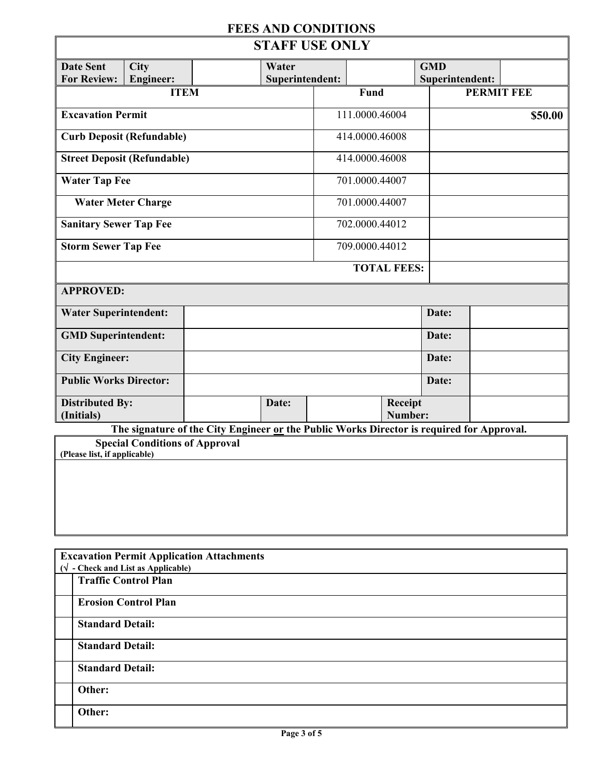# **FEES AND CONDITIONS**

| <b>STAFF USE ONLY</b>                                                                     |                                    |  |                          |  |                    |                    |                               |                   |
|-------------------------------------------------------------------------------------------|------------------------------------|--|--------------------------|--|--------------------|--------------------|-------------------------------|-------------------|
| <b>Date Sent</b><br><b>For Review:</b>                                                    | City<br><b>Engineer:</b>           |  | Water<br>Superintendent: |  |                    |                    | <b>GMD</b><br>Superintendent: |                   |
|                                                                                           | <b>ITEM</b>                        |  |                          |  | <b>Fund</b>        |                    |                               | <b>PERMIT FEE</b> |
| <b>Excavation Permit</b>                                                                  |                                    |  |                          |  | 111.0000.46004     |                    |                               | \$50.00           |
|                                                                                           | <b>Curb Deposit (Refundable)</b>   |  |                          |  | 414.0000.46008     |                    |                               |                   |
|                                                                                           | <b>Street Deposit (Refundable)</b> |  |                          |  | 414.0000.46008     |                    |                               |                   |
| <b>Water Tap Fee</b>                                                                      |                                    |  |                          |  | 701.0000.44007     |                    |                               |                   |
|                                                                                           | <b>Water Meter Charge</b>          |  |                          |  | 701.0000.44007     |                    |                               |                   |
| <b>Sanitary Sewer Tap Fee</b>                                                             |                                    |  |                          |  | 702.0000.44012     |                    |                               |                   |
| <b>Storm Sewer Tap Fee</b>                                                                |                                    |  |                          |  | 709.0000.44012     |                    |                               |                   |
|                                                                                           |                                    |  |                          |  | <b>TOTAL FEES:</b> |                    |                               |                   |
| <b>APPROVED:</b>                                                                          |                                    |  |                          |  |                    |                    |                               |                   |
| <b>Water Superintendent:</b>                                                              |                                    |  |                          |  |                    |                    | Date:                         |                   |
| <b>GMD</b> Superintendent:                                                                |                                    |  |                          |  |                    |                    | Date:                         |                   |
| <b>City Engineer:</b>                                                                     |                                    |  |                          |  |                    |                    | Date:                         |                   |
| <b>Public Works Director:</b>                                                             |                                    |  |                          |  |                    |                    | Date:                         |                   |
| <b>Distributed By:</b><br>(Initials)                                                      |                                    |  | Date:                    |  |                    | Receipt<br>Number: |                               |                   |
| The signature of the City Engineer or the Public Works Director is required for Approval. |                                    |  |                          |  |                    |                    |                               |                   |
| <b>Special Conditions of Approval</b><br>(Please list, if applicable)                     |                                    |  |                          |  |                    |                    |                               |                   |
|                                                                                           |                                    |  |                          |  |                    |                    |                               |                   |

| <b>Excavation Permit Application Attachments</b> |  |  |  |  |  |
|--------------------------------------------------|--|--|--|--|--|
| $(\sqrt{\ }$ - Check and List as Applicable)     |  |  |  |  |  |
|                                                  |  |  |  |  |  |
| <b>Traffic Control Plan</b>                      |  |  |  |  |  |
|                                                  |  |  |  |  |  |
|                                                  |  |  |  |  |  |
| <b>Erosion Control Plan</b>                      |  |  |  |  |  |
|                                                  |  |  |  |  |  |
| <b>Standard Detail:</b>                          |  |  |  |  |  |
|                                                  |  |  |  |  |  |
|                                                  |  |  |  |  |  |
| <b>Standard Detail:</b>                          |  |  |  |  |  |
|                                                  |  |  |  |  |  |
|                                                  |  |  |  |  |  |
| <b>Standard Detail:</b>                          |  |  |  |  |  |
|                                                  |  |  |  |  |  |
| Other:                                           |  |  |  |  |  |
|                                                  |  |  |  |  |  |
|                                                  |  |  |  |  |  |
| Other:                                           |  |  |  |  |  |
|                                                  |  |  |  |  |  |
|                                                  |  |  |  |  |  |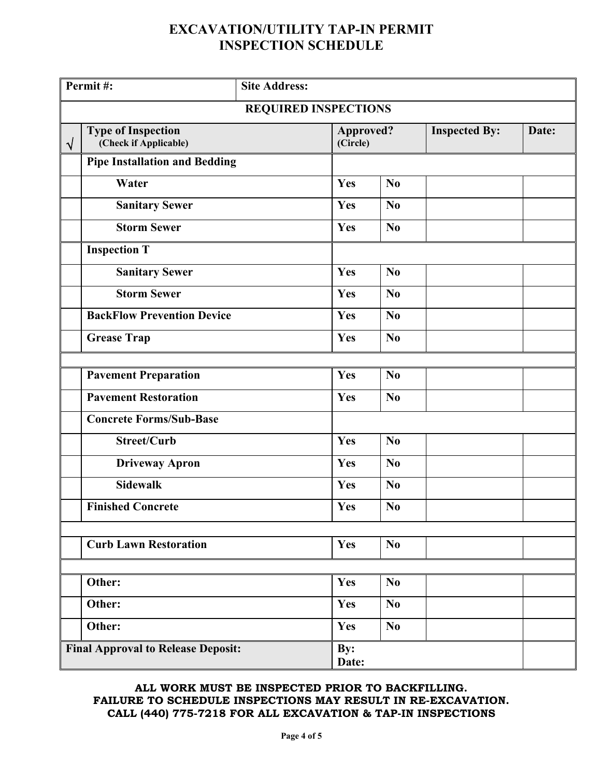## **EXCAVATION/UTILITY TAP-IN PERMIT INSPECTION SCHEDULE**

| Permit#:                                  |                                                    | <b>Site Address:</b>        |                       |                |                      |       |  |  |
|-------------------------------------------|----------------------------------------------------|-----------------------------|-----------------------|----------------|----------------------|-------|--|--|
|                                           |                                                    | <b>REQUIRED INSPECTIONS</b> |                       |                |                      |       |  |  |
| $\sqrt{}$                                 | <b>Type of Inspection</b><br>(Check if Applicable) |                             | Approved?<br>(Circle) |                | <b>Inspected By:</b> | Date: |  |  |
|                                           | <b>Pipe Installation and Bedding</b>               |                             |                       |                |                      |       |  |  |
|                                           | Water                                              |                             | Yes                   | N <sub>0</sub> |                      |       |  |  |
|                                           | <b>Sanitary Sewer</b>                              |                             | Yes                   | N <sub>0</sub> |                      |       |  |  |
|                                           | <b>Storm Sewer</b>                                 |                             | Yes                   | No             |                      |       |  |  |
|                                           | <b>Inspection T</b>                                |                             |                       |                |                      |       |  |  |
|                                           | <b>Sanitary Sewer</b>                              |                             | Yes                   | No             |                      |       |  |  |
|                                           | <b>Storm Sewer</b>                                 |                             | Yes                   | No             |                      |       |  |  |
|                                           | <b>BackFlow Prevention Device</b>                  |                             | Yes                   | N <sub>0</sub> |                      |       |  |  |
|                                           | <b>Grease Trap</b>                                 |                             | Yes                   | N <sub>0</sub> |                      |       |  |  |
|                                           | <b>Pavement Preparation</b>                        |                             | Yes                   | No             |                      |       |  |  |
|                                           | <b>Pavement Restoration</b>                        |                             | Yes                   | No             |                      |       |  |  |
|                                           | <b>Concrete Forms/Sub-Base</b>                     |                             |                       |                |                      |       |  |  |
|                                           | <b>Street/Curb</b>                                 |                             | Yes                   | N <sub>0</sub> |                      |       |  |  |
|                                           | <b>Driveway Apron</b>                              |                             | Yes                   | No             |                      |       |  |  |
|                                           | <b>Sidewalk</b>                                    |                             | Yes                   | No             |                      |       |  |  |
|                                           | <b>Finished Concrete</b>                           |                             | Yes                   | No             |                      |       |  |  |
|                                           | <b>Curb Lawn Restoration</b>                       |                             | Yes                   | N <sub>0</sub> |                      |       |  |  |
|                                           |                                                    |                             |                       |                |                      |       |  |  |
|                                           | Other:                                             |                             | Yes                   | N <sub>0</sub> |                      |       |  |  |
|                                           | Other:                                             |                             | Yes                   | N <sub>0</sub> |                      |       |  |  |
| Other:                                    |                                                    |                             | Yes                   | N <sub>0</sub> |                      |       |  |  |
| <b>Final Approval to Release Deposit:</b> |                                                    |                             | By:<br>Date:          |                |                      |       |  |  |

### **ALL WORK MUST BE INSPECTED PRIOR TO BACKFILLING. FAILURE TO SCHEDULE INSPECTIONS MAY RESULT IN RE-EXCAVATION. CALL (440) 775-7218 FOR ALL EXCAVATION & TAP-IN INSPECTIONS**